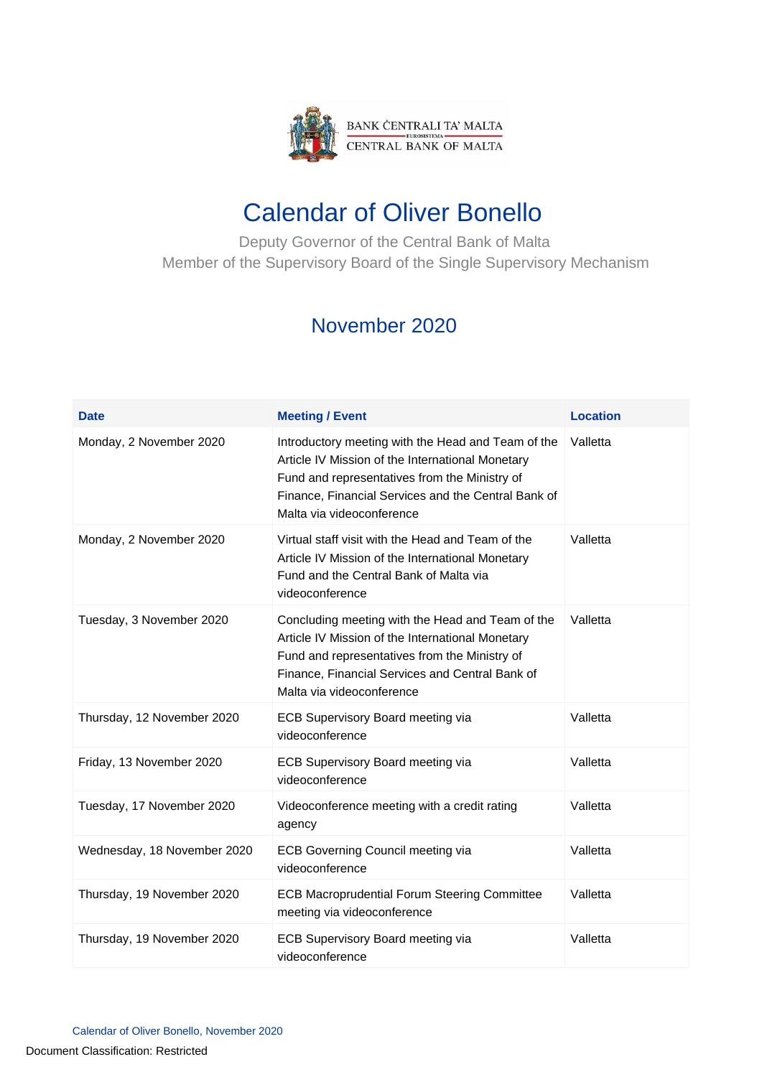

## Calendar of Oliver Bonello

 Deputy Governor of the Central Bank of Malta Member of the Supervisory Board of the Single Supervisory Mechanism

## November 2020

| <b>Date</b>                 | <b>Meeting / Event</b>                                                                                                                                                                                                                      | <b>Location</b> |
|-----------------------------|---------------------------------------------------------------------------------------------------------------------------------------------------------------------------------------------------------------------------------------------|-----------------|
| Monday, 2 November 2020     | Introductory meeting with the Head and Team of the<br>Article IV Mission of the International Monetary<br>Fund and representatives from the Ministry of<br>Finance, Financial Services and the Central Bank of<br>Malta via videoconference | Valletta        |
| Monday, 2 November 2020     | Virtual staff visit with the Head and Team of the<br>Article IV Mission of the International Monetary<br>Fund and the Central Bank of Malta via<br>videoconference                                                                          | Valletta        |
| Tuesday, 3 November 2020    | Concluding meeting with the Head and Team of the<br>Article IV Mission of the International Monetary<br>Fund and representatives from the Ministry of<br>Finance, Financial Services and Central Bank of<br>Malta via videoconference       | Valletta        |
| Thursday, 12 November 2020  | ECB Supervisory Board meeting via<br>videoconference                                                                                                                                                                                        | Valletta        |
| Friday, 13 November 2020    | <b>ECB Supervisory Board meeting via</b><br>videoconference                                                                                                                                                                                 | Valletta        |
| Tuesday, 17 November 2020   | Videoconference meeting with a credit rating<br>agency                                                                                                                                                                                      | Valletta        |
| Wednesday, 18 November 2020 | <b>ECB Governing Council meeting via</b><br>videoconference                                                                                                                                                                                 | Valletta        |
| Thursday, 19 November 2020  | <b>ECB Macroprudential Forum Steering Committee</b><br>meeting via videoconference                                                                                                                                                          | Valletta        |
| Thursday, 19 November 2020  | ECB Supervisory Board meeting via<br>videoconference                                                                                                                                                                                        | Valletta        |